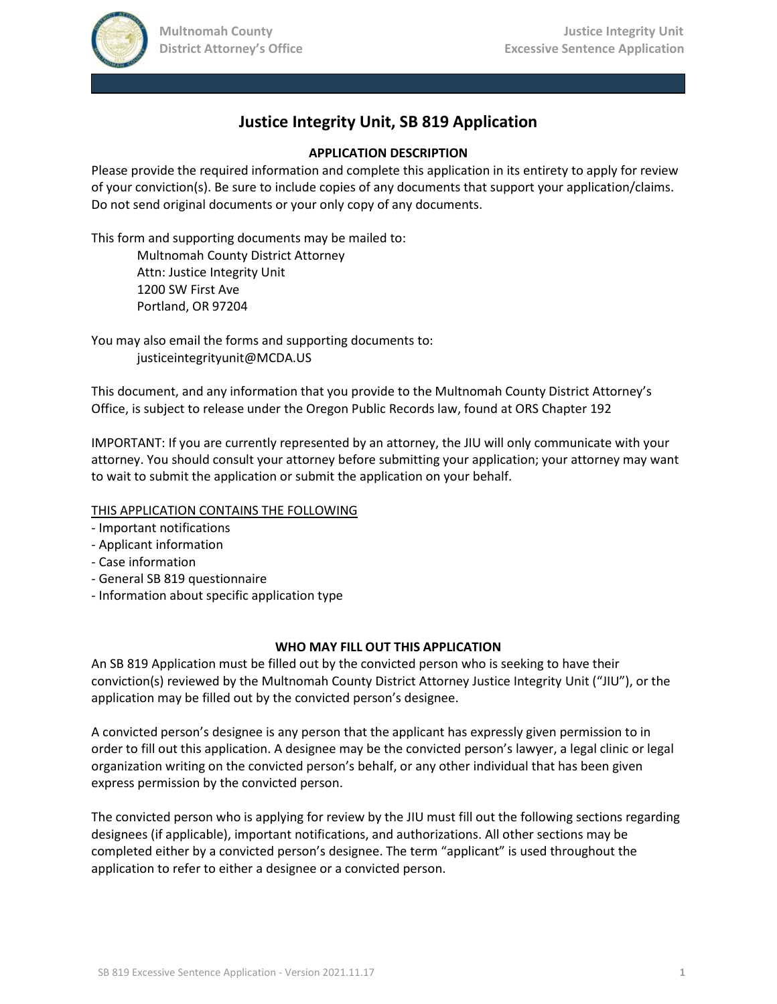

# **Justice Integrity Unit, SB 819 Application**

### **APPLICATION DESCRIPTION**

Please provide the required information and complete this application in its entirety to apply for review of your conviction(s). Be sure to include copies of any documents that support your application/claims. Do not send original documents or your only copy of any documents.

This form and supporting documents may be mailed to:

Multnomah County District Attorney Attn: Justice Integrity Unit 1200 SW First Ave Portland, OR 97204

You may also email the forms and supporting documents to: justiceintegrityunit@MCDA.US

This document, and any information that you provide to the Multnomah County District Attorney's Office, is subject to release under the Oregon Public Records law, found at ORS Chapter 192

IMPORTANT: If you are currently represented by an attorney, the JIU will only communicate with your attorney. You should consult your attorney before submitting your application; your attorney may want to wait to submit the application or submit the application on your behalf.

## THIS APPLICATION CONTAINS THE FOLLOWING

- Important notifications
- Applicant information
- Case information
- General SB 819 questionnaire
- Information about specific application type

#### **WHO MAY FILL OUT THIS APPLICATION**

An SB 819 Application must be filled out by the convicted person who is seeking to have their conviction(s) reviewed by the Multnomah County District Attorney Justice Integrity Unit ("JIU"), or the application may be filled out by the convicted person's designee.

A convicted person's designee is any person that the applicant has expressly given permission to in order to fill out this application. A designee may be the convicted person's lawyer, a legal clinic or legal organization writing on the convicted person's behalf, or any other individual that has been given express permission by the convicted person.

The convicted person who is applying for review by the JIU must fill out the following sections regarding designees (if applicable), important notifications, and authorizations. All other sections may be completed either by a convicted person's designee. The term "applicant" is used throughout the application to refer to either a designee or a convicted person.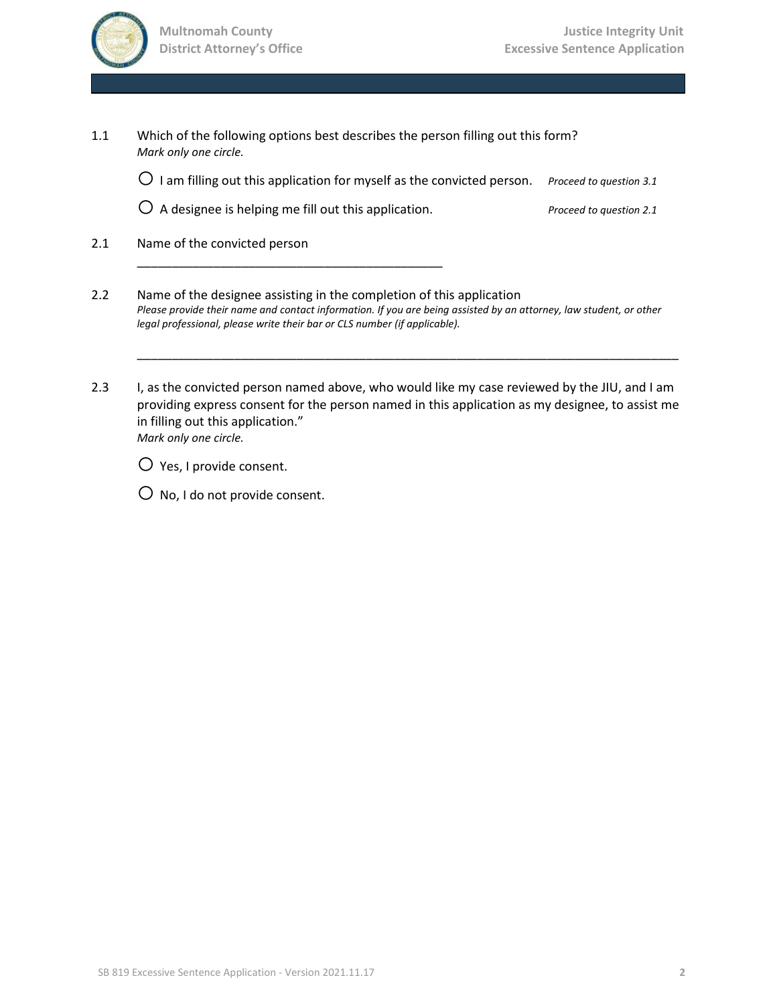

| Which of the following options best describes the person filling out this form?<br>1.1<br>Mark only one circle. |                         |
|-----------------------------------------------------------------------------------------------------------------|-------------------------|
| $\bigcirc$ 1 am filling out this application for myself as the convicted person.                                | Proceed to question 3.1 |
| $\bigcirc$ A designee is helping me fill out this application.                                                  | Proceed to question 2.1 |
|                                                                                                                 |                         |

2.1 Name of the convicted person

\_\_\_\_\_\_\_\_\_\_\_\_\_\_\_\_\_\_\_\_\_\_\_\_\_\_\_\_\_\_\_\_\_\_\_\_\_\_\_\_\_\_\_\_

- 2.2 Name of the designee assisting in the completion of this application *Please provide their name and contact information. If you are being assisted by an attorney, law student, or other legal professional, please write their bar or CLS number (if applicable).*
- 2.3 I, as the convicted person named above, who would like my case reviewed by the JIU, and I am providing express consent for the person named in this application as my designee, to assist me in filling out this application." *Mark only one circle.*

\_\_\_\_\_\_\_\_\_\_\_\_\_\_\_\_\_\_\_\_\_\_\_\_\_\_\_\_\_\_\_\_\_\_\_\_\_\_\_\_\_\_\_\_\_\_\_\_\_\_\_\_\_\_\_\_\_\_\_\_\_\_\_\_\_\_\_\_\_\_\_\_\_\_\_\_\_\_

 $\bigcirc$  Yes, I provide consent.

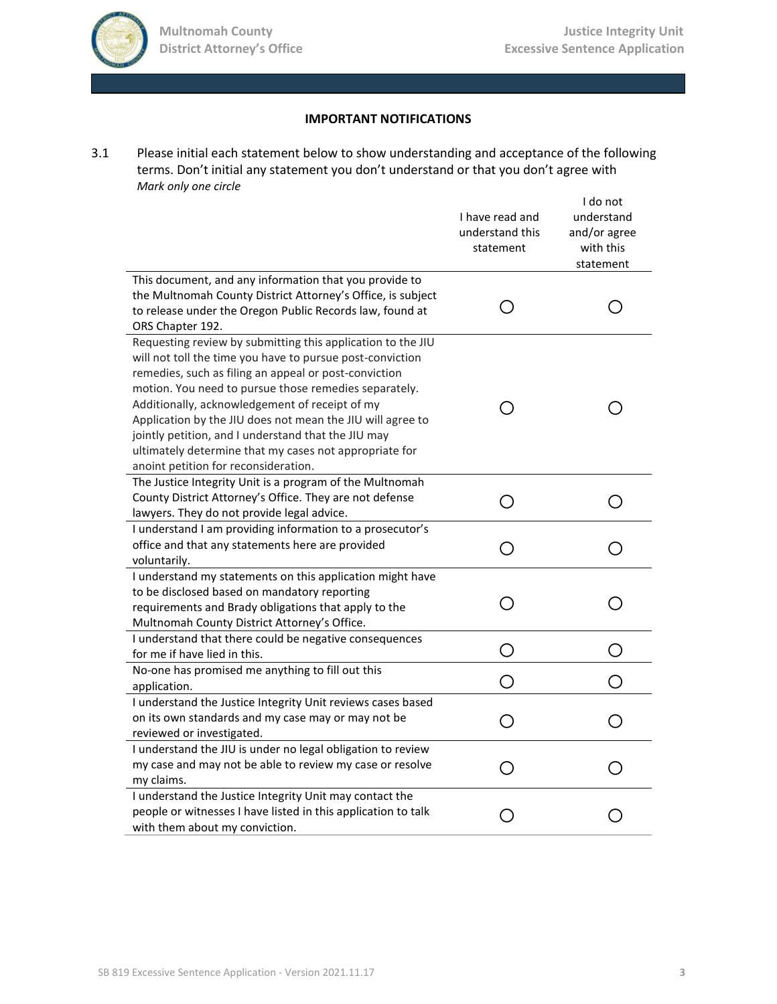

# **IMPORTANT NOTIFICATIONS**

3.1 Please initial each statement below to show understanding and acceptance of the following terms. Don't initial any statement you don't understand or that you don't agree with *Mark only one circle*

|                                                                                                                                                                                                                                                                                                                                                                                                                                                                                                                     | I have read and<br>understand this<br>statement | I do not<br>understand<br>and/or agree<br>with this<br>statement |
|---------------------------------------------------------------------------------------------------------------------------------------------------------------------------------------------------------------------------------------------------------------------------------------------------------------------------------------------------------------------------------------------------------------------------------------------------------------------------------------------------------------------|-------------------------------------------------|------------------------------------------------------------------|
| This document, and any information that you provide to<br>the Multnomah County District Attorney's Office, is subject<br>to release under the Oregon Public Records law, found at<br>ORS Chapter 192.                                                                                                                                                                                                                                                                                                               | ( )                                             |                                                                  |
| Requesting review by submitting this application to the JIU<br>will not toll the time you have to pursue post-conviction<br>remedies, such as filing an appeal or post-conviction<br>motion. You need to pursue those remedies separately.<br>Additionally, acknowledgement of receipt of my<br>Application by the JIU does not mean the JIU will agree to<br>jointly petition, and I understand that the JIU may<br>ultimately determine that my cases not appropriate for<br>anoint petition for reconsideration. | $\Box$                                          |                                                                  |
| The Justice Integrity Unit is a program of the Multnomah<br>County District Attorney's Office. They are not defense<br>lawyers. They do not provide legal advice.                                                                                                                                                                                                                                                                                                                                                   | O                                               |                                                                  |
| I understand I am providing information to a prosecutor's<br>office and that any statements here are provided<br>voluntarily.                                                                                                                                                                                                                                                                                                                                                                                       | O                                               |                                                                  |
| I understand my statements on this application might have<br>to be disclosed based on mandatory reporting<br>requirements and Brady obligations that apply to the<br>Multnomah County District Attorney's Office.                                                                                                                                                                                                                                                                                                   | ∩                                               |                                                                  |
| I understand that there could be negative consequences<br>for me if have lied in this.                                                                                                                                                                                                                                                                                                                                                                                                                              | ◯                                               | $\bigcap$                                                        |
| No-one has promised me anything to fill out this<br>application.                                                                                                                                                                                                                                                                                                                                                                                                                                                    | $\mathcal{L}$                                   |                                                                  |
| I understand the Justice Integrity Unit reviews cases based<br>on its own standards and my case may or may not be<br>reviewed or investigated.                                                                                                                                                                                                                                                                                                                                                                      | ◯                                               |                                                                  |
| I understand the JIU is under no legal obligation to review<br>my case and may not be able to review my case or resolve<br>my claims.                                                                                                                                                                                                                                                                                                                                                                               | ( )                                             |                                                                  |
| I understand the Justice Integrity Unit may contact the<br>people or witnesses I have listed in this application to talk<br>with them about my conviction.                                                                                                                                                                                                                                                                                                                                                          |                                                 |                                                                  |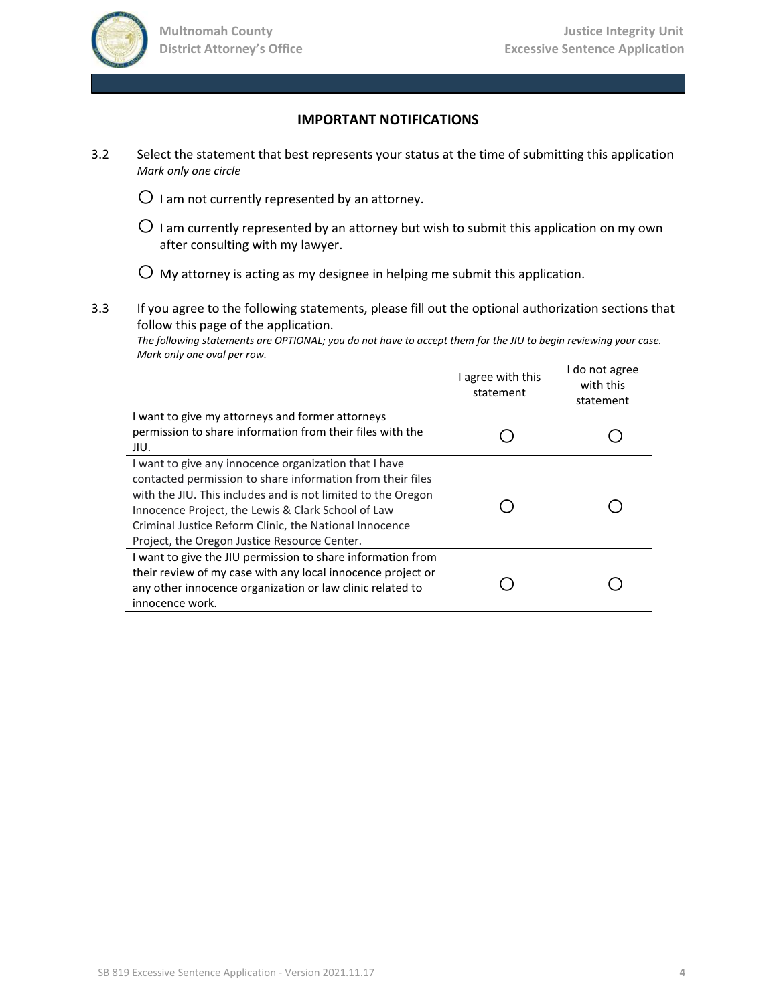

#### **IMPORTANT NOTIFICATIONS**

- 3.2 Select the statement that best represents your status at the time of submitting this application *Mark only one circle*
	- $\bigcirc$  I am not currently represented by an attorney.
	- $\bigcirc$  I am currently represented by an attorney but wish to submit this application on my own after consulting with my lawyer.

 $\bigcirc$  My attorney is acting as my designee in helping me submit this application.

3.3 If you agree to the following statements, please fill out the optional authorization sections that follow this page of the application.

*The following statements are OPTIONAL; you do not have to accept them for the JIU to begin reviewing your case. Mark only one oval per row.*

|                                                                                                                                                                                                                                                                                                                                                     | I agree with this<br>statement | I do not agree<br>with this<br>statement |
|-----------------------------------------------------------------------------------------------------------------------------------------------------------------------------------------------------------------------------------------------------------------------------------------------------------------------------------------------------|--------------------------------|------------------------------------------|
| I want to give my attorneys and former attorneys<br>permission to share information from their files with the<br>JIU.                                                                                                                                                                                                                               |                                |                                          |
| I want to give any innocence organization that I have<br>contacted permission to share information from their files<br>with the JIU. This includes and is not limited to the Oregon<br>Innocence Project, the Lewis & Clark School of Law<br>Criminal Justice Reform Clinic, the National Innocence<br>Project, the Oregon Justice Resource Center. |                                |                                          |
| I want to give the JIU permission to share information from<br>their review of my case with any local innocence project or<br>any other innocence organization or law clinic related to<br>innocence work.                                                                                                                                          |                                |                                          |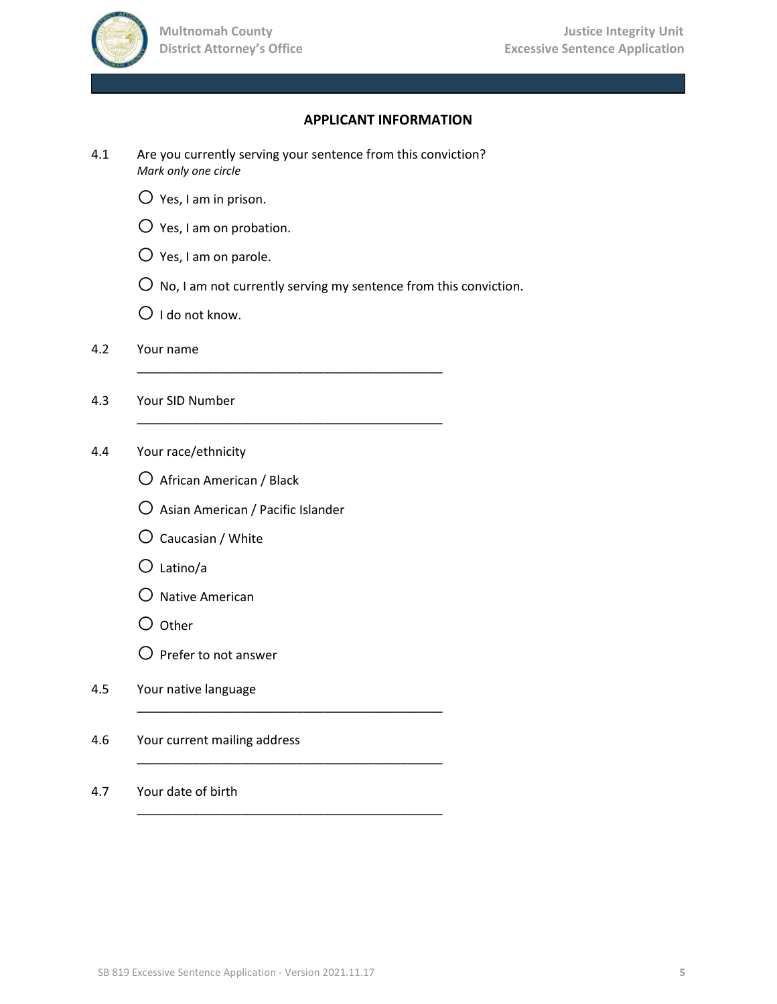

## **APPLICANT INFORMATION**

4.1 Are you currently serving your sentence from this conviction? *Mark only one circle*

\_\_\_\_\_\_\_\_\_\_\_\_\_\_\_\_\_\_\_\_\_\_\_\_\_\_\_\_\_\_\_\_\_\_\_\_\_\_\_\_\_\_\_\_

\_\_\_\_\_\_\_\_\_\_\_\_\_\_\_\_\_\_\_\_\_\_\_\_\_\_\_\_\_\_\_\_\_\_\_\_\_\_\_\_\_\_\_\_

\_\_\_\_\_\_\_\_\_\_\_\_\_\_\_\_\_\_\_\_\_\_\_\_\_\_\_\_\_\_\_\_\_\_\_\_\_\_\_\_\_\_\_\_

\_\_\_\_\_\_\_\_\_\_\_\_\_\_\_\_\_\_\_\_\_\_\_\_\_\_\_\_\_\_\_\_\_\_\_\_\_\_\_\_\_\_\_\_

\_\_\_\_\_\_\_\_\_\_\_\_\_\_\_\_\_\_\_\_\_\_\_\_\_\_\_\_\_\_\_\_\_\_\_\_\_\_\_\_\_\_\_\_

- $O$  Yes, I am in prison.
- $\bigcirc$  Yes, I am on probation.
- $O$  Yes, I am on parole.
- $\overline{O}$  No, I am not currently serving my sentence from this conviction.
- $O$  I do not know.
- 4.2 Your name
- 4.3 Your SID Number
- 4.4 Your race/ethnicity
	- O African American / Black
	- $O$  Asian American / Pacific Islander
	- $O$  Caucasian / White
	- $O$  Latino/a
	- $O$  Native American
	- $O$  Other
	- $\bigcirc$  Prefer to not answer
- 4.5 Your native language
- 4.6 Your current mailing address
- 4.7 Your date of birth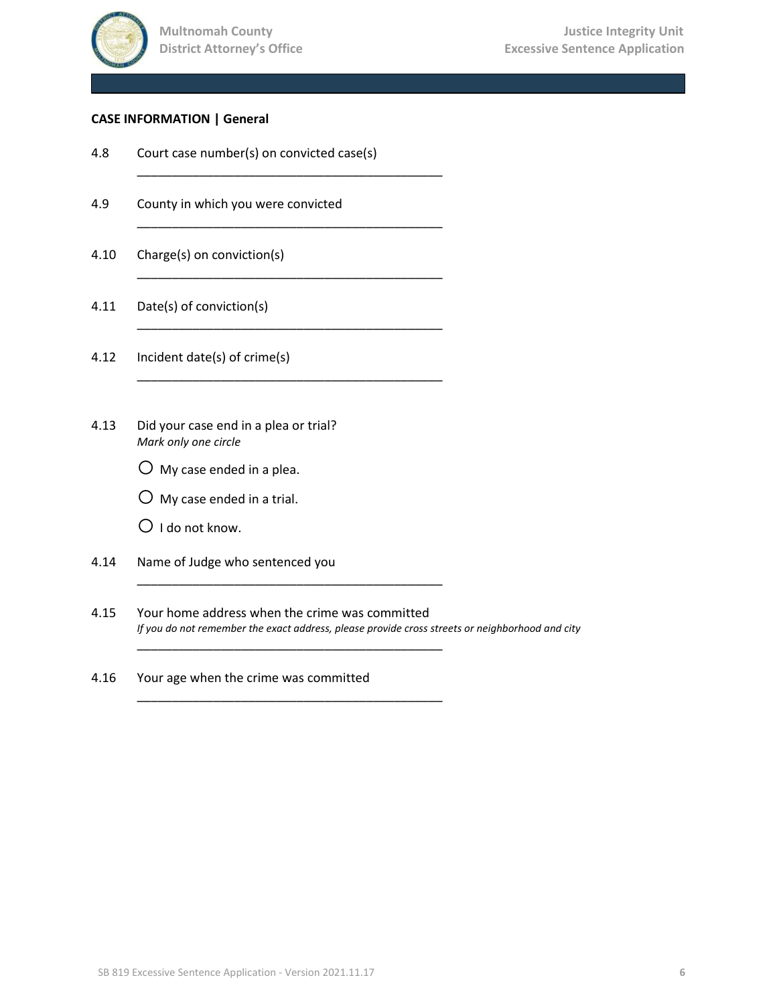

#### **CASE INFORMATION | General**

4.8 Court case number(s) on convicted case(s)

\_\_\_\_\_\_\_\_\_\_\_\_\_\_\_\_\_\_\_\_\_\_\_\_\_\_\_\_\_\_\_\_\_\_\_\_\_\_\_\_\_\_\_\_

\_\_\_\_\_\_\_\_\_\_\_\_\_\_\_\_\_\_\_\_\_\_\_\_\_\_\_\_\_\_\_\_\_\_\_\_\_\_\_\_\_\_\_\_

\_\_\_\_\_\_\_\_\_\_\_\_\_\_\_\_\_\_\_\_\_\_\_\_\_\_\_\_\_\_\_\_\_\_\_\_\_\_\_\_\_\_\_\_

\_\_\_\_\_\_\_\_\_\_\_\_\_\_\_\_\_\_\_\_\_\_\_\_\_\_\_\_\_\_\_\_\_\_\_\_\_\_\_\_\_\_\_\_

\_\_\_\_\_\_\_\_\_\_\_\_\_\_\_\_\_\_\_\_\_\_\_\_\_\_\_\_\_\_\_\_\_\_\_\_\_\_\_\_\_\_\_\_

\_\_\_\_\_\_\_\_\_\_\_\_\_\_\_\_\_\_\_\_\_\_\_\_\_\_\_\_\_\_\_\_\_\_\_\_\_\_\_\_\_\_\_\_

\_\_\_\_\_\_\_\_\_\_\_\_\_\_\_\_\_\_\_\_\_\_\_\_\_\_\_\_\_\_\_\_\_\_\_\_\_\_\_\_\_\_\_\_

\_\_\_\_\_\_\_\_\_\_\_\_\_\_\_\_\_\_\_\_\_\_\_\_\_\_\_\_\_\_\_\_\_\_\_\_\_\_\_\_\_\_\_\_

- 4.9 County in which you were convicted
- 4.10 Charge(s) on conviction(s)
- 4.11 Date(s) of conviction(s)
- 4.12 Incident date(s) of crime(s)
- 4.13 Did your case end in a plea or trial? *Mark only one circle*
	- $\bigcirc$  My case ended in a plea.
	- $O$  My case ended in a trial.
	- $\bigcirc$  I do not know.
- 4.14 Name of Judge who sentenced you
- 4.15 Your home address when the crime was committed *If you do not remember the exact address, please provide cross streets or neighborhood and city*
- 4.16 Your age when the crime was committed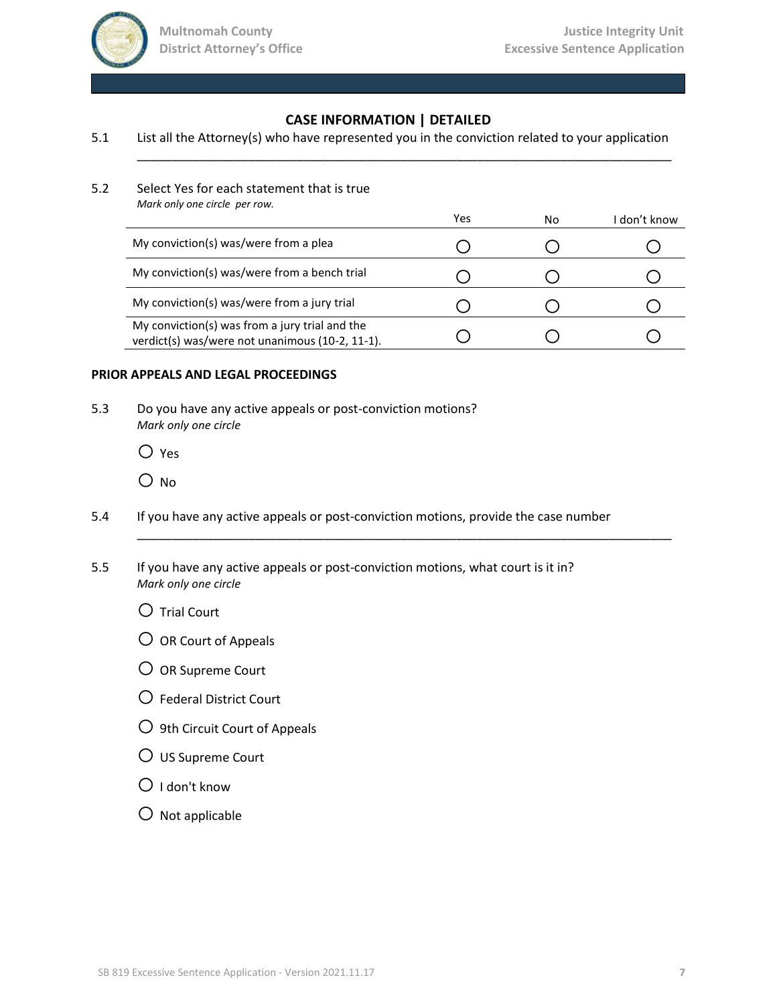

# **CASE INFORMATION | DETAILED**

\_\_\_\_\_\_\_\_\_\_\_\_\_\_\_\_\_\_\_\_\_\_\_\_\_\_\_\_\_\_\_\_\_\_\_\_\_\_\_\_\_\_\_\_\_\_\_\_\_\_\_\_\_\_\_\_\_\_\_\_\_\_\_\_\_\_\_\_\_\_\_\_\_\_\_\_\_

#### 5.1 List all the Attorney(s) who have represented you in the conviction related to your application

5.2 Select Yes for each statement that is true *Mark only one circle per row.*

| <b>IVIUIK UIIIY UIIE LIILIE DEI TUW.</b>                                                          | Yes | No | I don't know |
|---------------------------------------------------------------------------------------------------|-----|----|--------------|
| My conviction(s) was/were from a plea                                                             |     |    |              |
| My conviction(s) was/were from a bench trial                                                      |     |    |              |
| My conviction(s) was/were from a jury trial                                                       |     |    |              |
| My conviction(s) was from a jury trial and the<br>verdict(s) was/were not unanimous (10-2, 11-1). |     |    |              |

\_\_\_\_\_\_\_\_\_\_\_\_\_\_\_\_\_\_\_\_\_\_\_\_\_\_\_\_\_\_\_\_\_\_\_\_\_\_\_\_\_\_\_\_\_\_\_\_\_\_\_\_\_\_\_\_\_\_\_\_\_\_\_\_\_\_\_\_\_\_\_\_\_\_\_\_\_

#### **PRIOR APPEALS AND LEGAL PROCEEDINGS**

5.3 Do you have any active appeals or post-conviction motions? *Mark only one circle*

 $\bigcirc$  Yes

O No

- 5.4 If you have any active appeals or post-conviction motions, provide the case number
- 5.5 If you have any active appeals or post-conviction motions, what court is it in? *Mark only one circle*

 $\bigcirc$  Trial Court

- $\overline{O}$  OR Court of Appeals
- O OR Supreme Court
- $O$  Federal District Court
- $\bigcirc$  9th Circuit Court of Appeals
- $\overline{O}$  US Supreme Court
- $O$  I don't know
- $\bigcirc$  Not applicable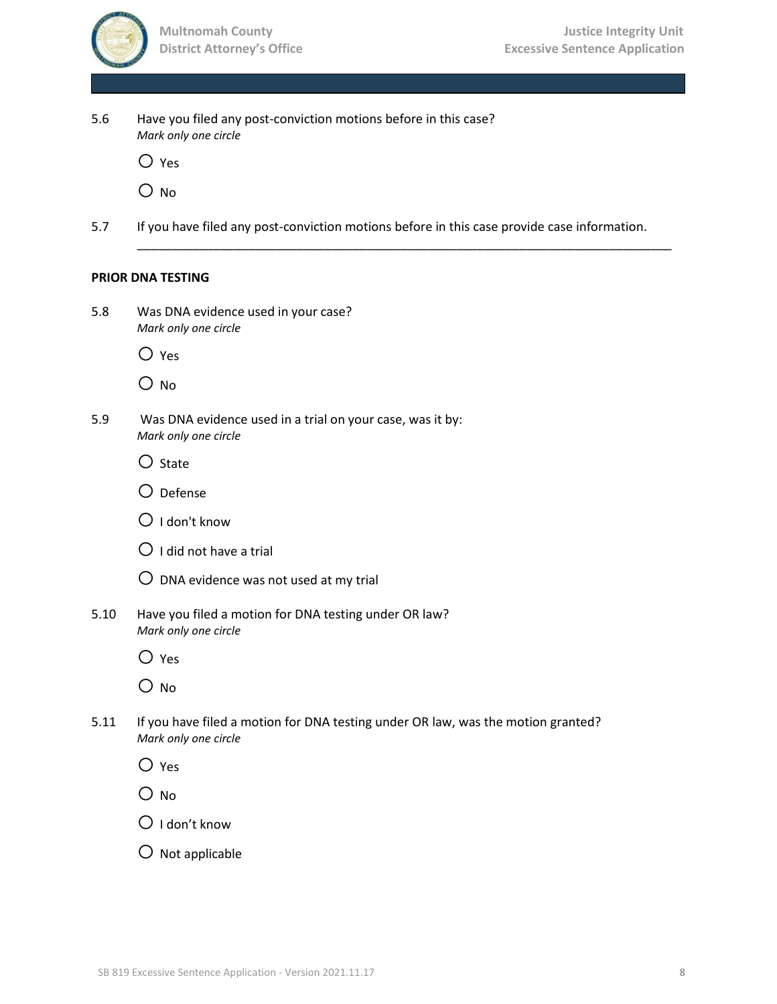

| 5.6  | Have you filed any post-conviction motions before in this case?<br>Mark only one circle                  |
|------|----------------------------------------------------------------------------------------------------------|
|      | $\bigcirc$ Yes                                                                                           |
|      | O No                                                                                                     |
| 5.7  | If you have filed any post-conviction motions before in this case provide case information.              |
|      | <b>PRIOR DNA TESTING</b>                                                                                 |
| 5.8  | Was DNA evidence used in your case?<br>Mark only one circle                                              |
|      | $\bigcirc$ Yes                                                                                           |
|      | O no                                                                                                     |
| 5.9  | Was DNA evidence used in a trial on your case, was it by:<br>Mark only one circle                        |
|      | $\bigcirc$ State                                                                                         |
|      | $\bigcirc$ Defense                                                                                       |
|      | $\bigcirc$ I don't know                                                                                  |
|      | $\bigcirc$ I did not have a trial                                                                        |
|      | $\bigcirc$ DNA evidence was not used at my trial                                                         |
| 5.10 | Have you filed a motion for DNA testing under OR law?<br>Mark only one circle                            |
|      | $\supset$ Yes                                                                                            |
|      | O no                                                                                                     |
| 5.11 | If you have filed a motion for DNA testing under OR law, was the motion granted?<br>Mark only one circle |
|      | $\bigcirc$ Yes                                                                                           |

O No

 $O$  I don't know

 $O$  Not applicable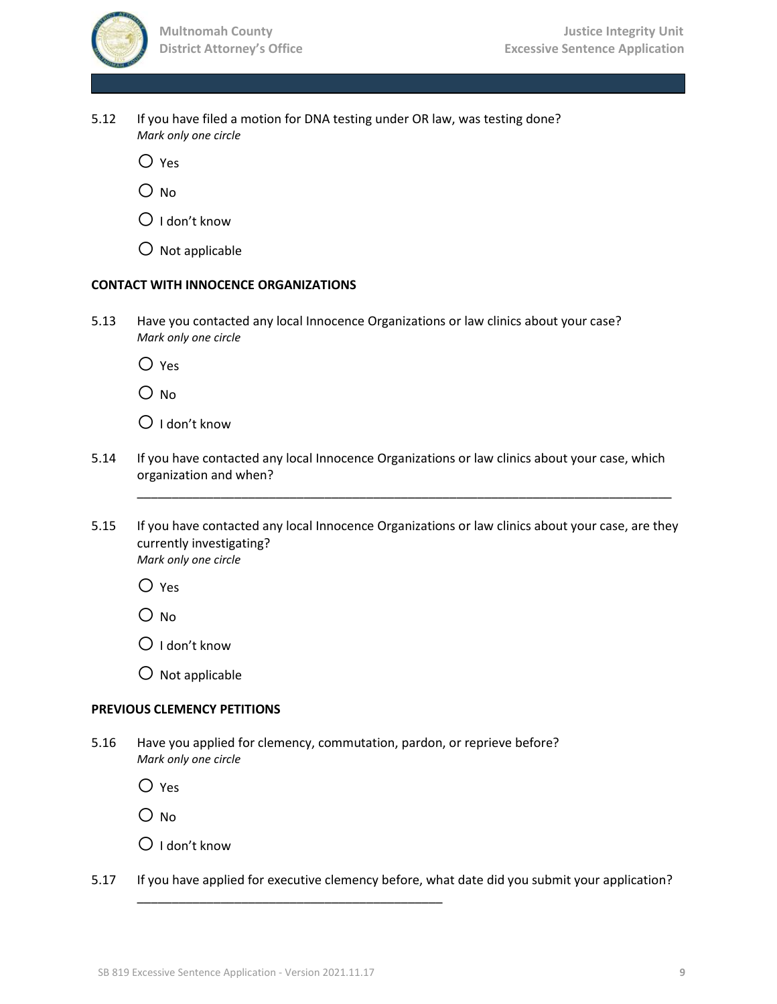5.12 If you have filed a motion for DNA testing under OR law, was testing done? *Mark only one circle*

 $\bigcirc$  Yes

O No

 $\bigcirc$  I don't know

 $\overline{O}$  Not applicable

#### **CONTACT WITH INNOCENCE ORGANIZATIONS**

5.13 Have you contacted any local Innocence Organizations or law clinics about your case? *Mark only one circle*

 $\bigcirc$  Yes

 $O$  No

 $\bigcirc$  I don't know

- 5.14 If you have contacted any local Innocence Organizations or law clinics about your case, which organization and when?
- 5.15 If you have contacted any local Innocence Organizations or law clinics about your case, are they currently investigating? *Mark only one circle*

\_\_\_\_\_\_\_\_\_\_\_\_\_\_\_\_\_\_\_\_\_\_\_\_\_\_\_\_\_\_\_\_\_\_\_\_\_\_\_\_\_\_\_\_\_\_\_\_\_\_\_\_\_\_\_\_\_\_\_\_\_\_\_\_\_\_\_\_\_\_\_\_\_\_\_\_\_

 $O$  Yes

 $O$  No

 $\bigcirc$  I don't know

 $\bigcirc$  Not applicable

### **PREVIOUS CLEMENCY PETITIONS**

5.16 Have you applied for clemency, commutation, pardon, or reprieve before? *Mark only one circle*

\_\_\_\_\_\_\_\_\_\_\_\_\_\_\_\_\_\_\_\_\_\_\_\_\_\_\_\_\_\_\_\_\_\_\_\_\_\_\_\_\_\_\_\_

 $O$  Yes

 $O$  No.

- $\bigcirc$  I don't know
- 5.17 If you have applied for executive clemency before, what date did you submit your application?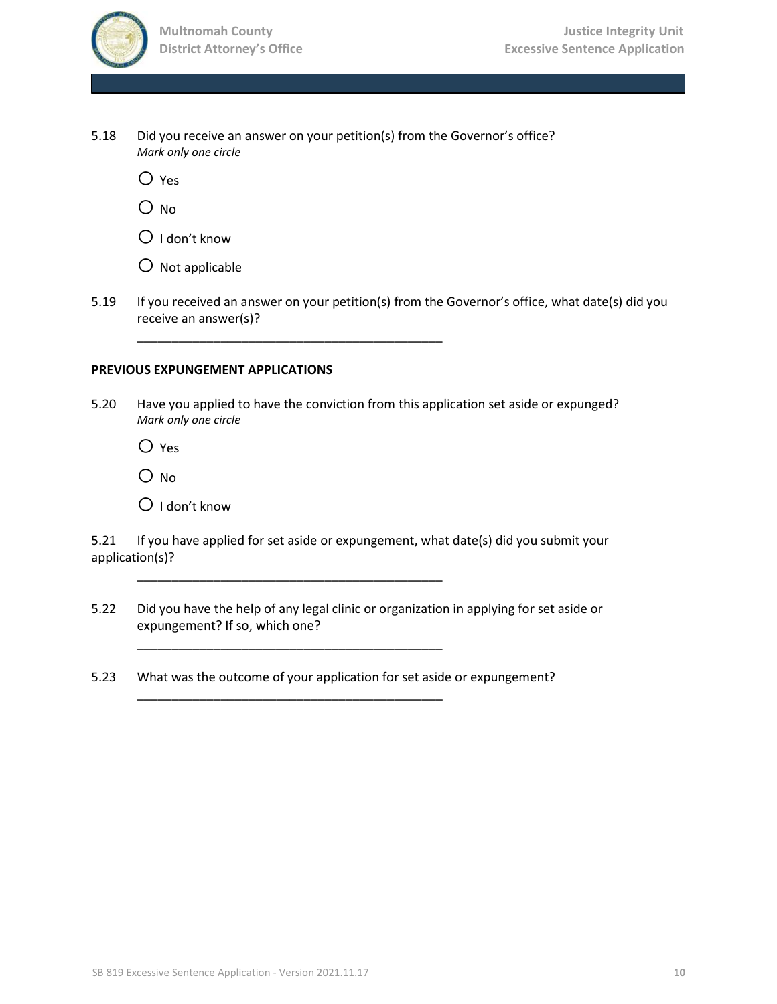

5.18 Did you receive an answer on your petition(s) from the Governor's office? *Mark only one circle*

\_\_\_\_\_\_\_\_\_\_\_\_\_\_\_\_\_\_\_\_\_\_\_\_\_\_\_\_\_\_\_\_\_\_\_\_\_\_\_\_\_\_\_\_

\_\_\_\_\_\_\_\_\_\_\_\_\_\_\_\_\_\_\_\_\_\_\_\_\_\_\_\_\_\_\_\_\_\_\_\_\_\_\_\_\_\_\_\_

\_\_\_\_\_\_\_\_\_\_\_\_\_\_\_\_\_\_\_\_\_\_\_\_\_\_\_\_\_\_\_\_\_\_\_\_\_\_\_\_\_\_\_\_

\_\_\_\_\_\_\_\_\_\_\_\_\_\_\_\_\_\_\_\_\_\_\_\_\_\_\_\_\_\_\_\_\_\_\_\_\_\_\_\_\_\_\_\_

 $O$  Yes

 $\bigcirc$  No

 $O$  I don't know

 $\bigcirc$  Not applicable

5.19 If you received an answer on your petition(s) from the Governor's office, what date(s) did you receive an answer(s)?

#### **PREVIOUS EXPUNGEMENT APPLICATIONS**

5.20 Have you applied to have the conviction from this application set aside or expunged? *Mark only one circle*

 $O$  Yes

 $O$  No

 $\bigcirc$  I don't know

5.21 If you have applied for set aside or expungement, what date(s) did you submit your application(s)?

- 5.22 Did you have the help of any legal clinic or organization in applying for set aside or expungement? If so, which one?
- 5.23 What was the outcome of your application for set aside or expungement?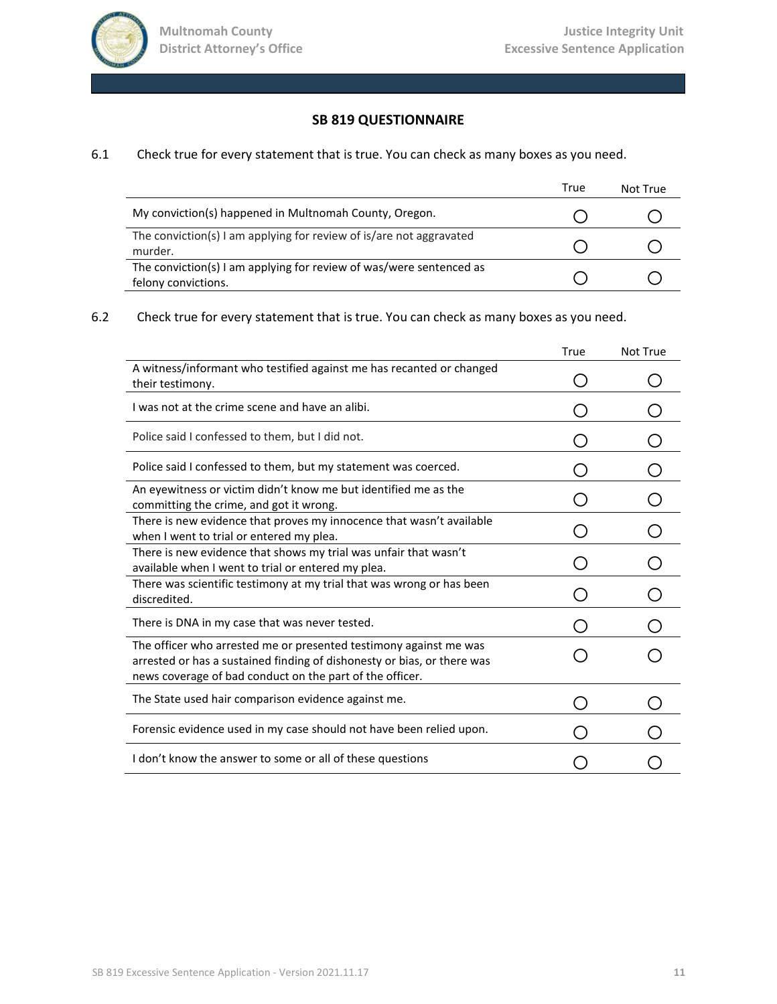

## **SB 819 QUESTIONNAIRE**

## 6.1 Check true for every statement that is true. You can check as many boxes as you need.

|                                                                                            | True | Not True |
|--------------------------------------------------------------------------------------------|------|----------|
| My conviction(s) happened in Multnomah County, Oregon.                                     |      |          |
| The conviction(s) I am applying for review of is/are not aggravated<br>murder.             |      |          |
| The conviction(s) I am applying for review of was/were sentenced as<br>felony convictions. |      |          |

# 6.2 Check true for every statement that is true. You can check as many boxes as you need.

|                                                                                                                                                                                                          | True | Not True |
|----------------------------------------------------------------------------------------------------------------------------------------------------------------------------------------------------------|------|----------|
| A witness/informant who testified against me has recanted or changed<br>their testimony.                                                                                                                 |      |          |
| I was not at the crime scene and have an alibi.                                                                                                                                                          |      |          |
| Police said I confessed to them, but I did not.                                                                                                                                                          |      |          |
| Police said I confessed to them, but my statement was coerced.                                                                                                                                           |      |          |
| An evewitness or victim didn't know me but identified me as the<br>committing the crime, and got it wrong.                                                                                               |      |          |
| There is new evidence that proves my innocence that wasn't available<br>when I went to trial or entered my plea.                                                                                         |      |          |
| There is new evidence that shows my trial was unfair that wasn't<br>available when I went to trial or entered my plea.                                                                                   |      |          |
| There was scientific testimony at my trial that was wrong or has been<br>discredited.                                                                                                                    |      |          |
| There is DNA in my case that was never tested.                                                                                                                                                           |      |          |
| The officer who arrested me or presented testimony against me was<br>arrested or has a sustained finding of dishonesty or bias, or there was<br>news coverage of bad conduct on the part of the officer. |      |          |
| The State used hair comparison evidence against me.                                                                                                                                                      |      |          |
| Forensic evidence used in my case should not have been relied upon.                                                                                                                                      |      |          |
| I don't know the answer to some or all of these questions                                                                                                                                                |      |          |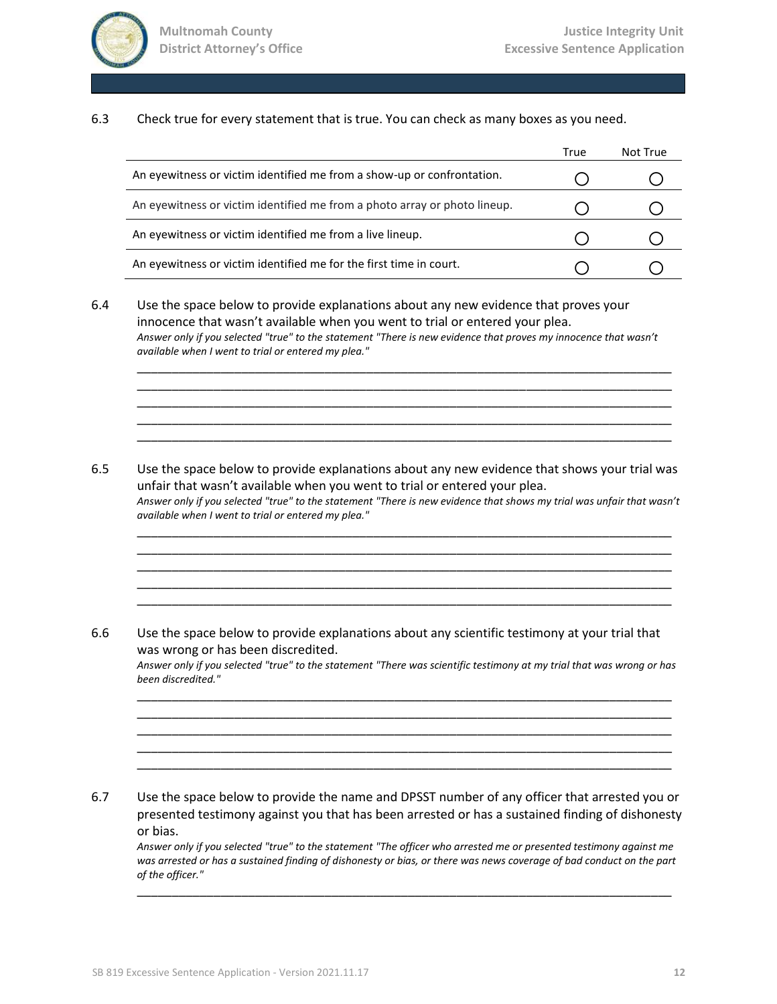

6.3 Check true for every statement that is true. You can check as many boxes as you need.

|                                                                           | True | Not True |
|---------------------------------------------------------------------------|------|----------|
| An eyewitness or victim identified me from a show-up or confrontation.    |      |          |
| An eyewitness or victim identified me from a photo array or photo lineup. |      |          |
| An eyewitness or victim identified me from a live lineup.                 |      |          |
| An eyewitness or victim identified me for the first time in court.        |      |          |

6.4 Use the space below to provide explanations about any new evidence that proves your innocence that wasn't available when you went to trial or entered your plea. *Answer only if you selected "true" to the statement "There is new evidence that proves my innocence that wasn't available when I went to trial or entered my plea."* \_\_\_\_\_\_\_\_\_\_\_\_\_\_\_\_\_\_\_\_\_\_\_\_\_\_\_\_\_\_\_\_\_\_\_\_\_\_\_\_\_\_\_\_\_\_\_\_\_\_\_\_\_\_\_\_\_\_\_\_\_\_\_\_\_\_\_\_\_\_\_\_\_\_\_\_\_

\_\_\_\_\_\_\_\_\_\_\_\_\_\_\_\_\_\_\_\_\_\_\_\_\_\_\_\_\_\_\_\_\_\_\_\_\_\_\_\_\_\_\_\_\_\_\_\_\_\_\_\_\_\_\_\_\_\_\_\_\_\_\_\_\_\_\_\_\_\_\_\_\_\_\_\_\_ \_\_\_\_\_\_\_\_\_\_\_\_\_\_\_\_\_\_\_\_\_\_\_\_\_\_\_\_\_\_\_\_\_\_\_\_\_\_\_\_\_\_\_\_\_\_\_\_\_\_\_\_\_\_\_\_\_\_\_\_\_\_\_\_\_\_\_\_\_\_\_\_\_\_\_\_\_ \_\_\_\_\_\_\_\_\_\_\_\_\_\_\_\_\_\_\_\_\_\_\_\_\_\_\_\_\_\_\_\_\_\_\_\_\_\_\_\_\_\_\_\_\_\_\_\_\_\_\_\_\_\_\_\_\_\_\_\_\_\_\_\_\_\_\_\_\_\_\_\_\_\_\_\_\_ \_\_\_\_\_\_\_\_\_\_\_\_\_\_\_\_\_\_\_\_\_\_\_\_\_\_\_\_\_\_\_\_\_\_\_\_\_\_\_\_\_\_\_\_\_\_\_\_\_\_\_\_\_\_\_\_\_\_\_\_\_\_\_\_\_\_\_\_\_\_\_\_\_\_\_\_\_

6.5 Use the space below to provide explanations about any new evidence that shows your trial was unfair that wasn't available when you went to trial or entered your plea. *Answer only if you selected "true" to the statement "There is new evidence that shows my trial was unfair that wasn't available when I went to trial or entered my plea."* \_\_\_\_\_\_\_\_\_\_\_\_\_\_\_\_\_\_\_\_\_\_\_\_\_\_\_\_\_\_\_\_\_\_\_\_\_\_\_\_\_\_\_\_\_\_\_\_\_\_\_\_\_\_\_\_\_\_\_\_\_\_\_\_\_\_\_\_\_\_\_\_\_\_\_\_\_

\_\_\_\_\_\_\_\_\_\_\_\_\_\_\_\_\_\_\_\_\_\_\_\_\_\_\_\_\_\_\_\_\_\_\_\_\_\_\_\_\_\_\_\_\_\_\_\_\_\_\_\_\_\_\_\_\_\_\_\_\_\_\_\_\_\_\_\_\_\_\_\_\_\_\_\_\_ \_\_\_\_\_\_\_\_\_\_\_\_\_\_\_\_\_\_\_\_\_\_\_\_\_\_\_\_\_\_\_\_\_\_\_\_\_\_\_\_\_\_\_\_\_\_\_\_\_\_\_\_\_\_\_\_\_\_\_\_\_\_\_\_\_\_\_\_\_\_\_\_\_\_\_\_\_ \_\_\_\_\_\_\_\_\_\_\_\_\_\_\_\_\_\_\_\_\_\_\_\_\_\_\_\_\_\_\_\_\_\_\_\_\_\_\_\_\_\_\_\_\_\_\_\_\_\_\_\_\_\_\_\_\_\_\_\_\_\_\_\_\_\_\_\_\_\_\_\_\_\_\_\_\_ \_\_\_\_\_\_\_\_\_\_\_\_\_\_\_\_\_\_\_\_\_\_\_\_\_\_\_\_\_\_\_\_\_\_\_\_\_\_\_\_\_\_\_\_\_\_\_\_\_\_\_\_\_\_\_\_\_\_\_\_\_\_\_\_\_\_\_\_\_\_\_\_\_\_\_\_\_

6.6 Use the space below to provide explanations about any scientific testimony at your trial that was wrong or has been discredited. *Answer only if you selected "true" to the statement "There was scientific testimony at my trial that was wrong or has been discredited."* \_\_\_\_\_\_\_\_\_\_\_\_\_\_\_\_\_\_\_\_\_\_\_\_\_\_\_\_\_\_\_\_\_\_\_\_\_\_\_\_\_\_\_\_\_\_\_\_\_\_\_\_\_\_\_\_\_\_\_\_\_\_\_\_\_\_\_\_\_\_\_\_\_\_\_\_\_

\_\_\_\_\_\_\_\_\_\_\_\_\_\_\_\_\_\_\_\_\_\_\_\_\_\_\_\_\_\_\_\_\_\_\_\_\_\_\_\_\_\_\_\_\_\_\_\_\_\_\_\_\_\_\_\_\_\_\_\_\_\_\_\_\_\_\_\_\_\_\_\_\_\_\_\_\_ \_\_\_\_\_\_\_\_\_\_\_\_\_\_\_\_\_\_\_\_\_\_\_\_\_\_\_\_\_\_\_\_\_\_\_\_\_\_\_\_\_\_\_\_\_\_\_\_\_\_\_\_\_\_\_\_\_\_\_\_\_\_\_\_\_\_\_\_\_\_\_\_\_\_\_\_\_ \_\_\_\_\_\_\_\_\_\_\_\_\_\_\_\_\_\_\_\_\_\_\_\_\_\_\_\_\_\_\_\_\_\_\_\_\_\_\_\_\_\_\_\_\_\_\_\_\_\_\_\_\_\_\_\_\_\_\_\_\_\_\_\_\_\_\_\_\_\_\_\_\_\_\_\_\_ \_\_\_\_\_\_\_\_\_\_\_\_\_\_\_\_\_\_\_\_\_\_\_\_\_\_\_\_\_\_\_\_\_\_\_\_\_\_\_\_\_\_\_\_\_\_\_\_\_\_\_\_\_\_\_\_\_\_\_\_\_\_\_\_\_\_\_\_\_\_\_\_\_\_\_\_\_

6.7 Use the space below to provide the name and DPSST number of any officer that arrested you or presented testimony against you that has been arrested or has a sustained finding of dishonesty or bias.

*Answer only if you selected "true" to the statement "The officer who arrested me or presented testimony against me was arrested or has a sustained finding of dishonesty or bias, or there was news coverage of bad conduct on the part of the officer."*

\_\_\_\_\_\_\_\_\_\_\_\_\_\_\_\_\_\_\_\_\_\_\_\_\_\_\_\_\_\_\_\_\_\_\_\_\_\_\_\_\_\_\_\_\_\_\_\_\_\_\_\_\_\_\_\_\_\_\_\_\_\_\_\_\_\_\_\_\_\_\_\_\_\_\_\_\_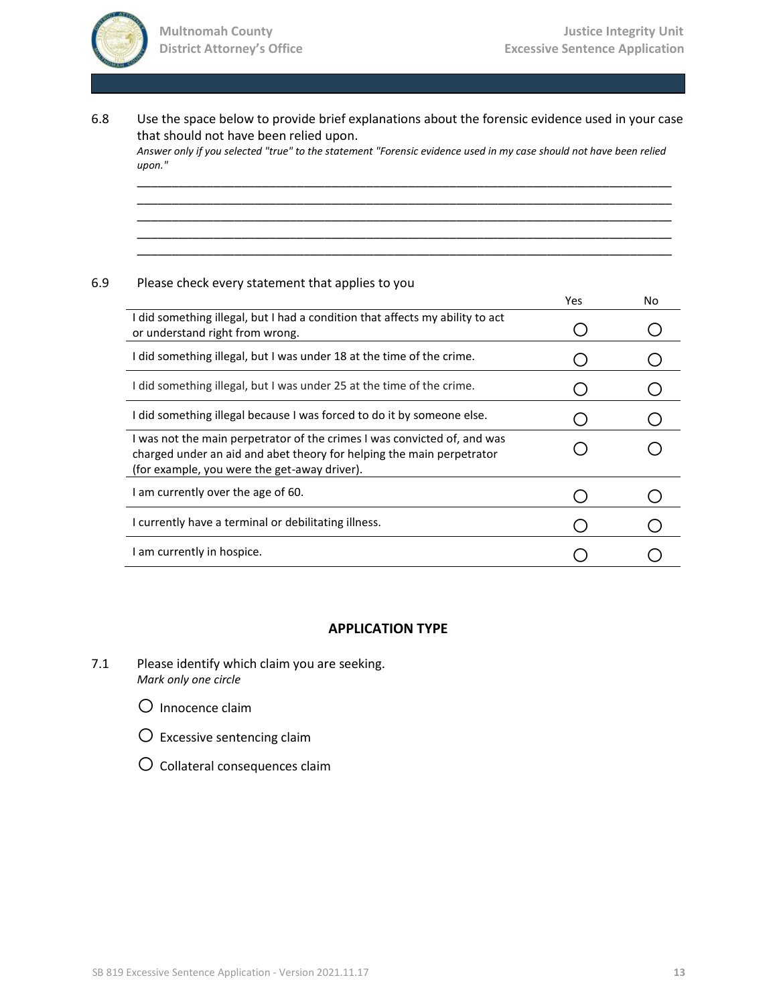

6.8 Use the space below to provide brief explanations about the forensic evidence used in your case that should not have been relied upon.

*Answer only if you selected "true" to the statement "Forensic evidence used in my case should not have been relied upon."* \_\_\_\_\_\_\_\_\_\_\_\_\_\_\_\_\_\_\_\_\_\_\_\_\_\_\_\_\_\_\_\_\_\_\_\_\_\_\_\_\_\_\_\_\_\_\_\_\_\_\_\_\_\_\_\_\_\_\_\_\_\_\_\_\_\_\_\_\_\_\_\_\_\_\_\_\_

\_\_\_\_\_\_\_\_\_\_\_\_\_\_\_\_\_\_\_\_\_\_\_\_\_\_\_\_\_\_\_\_\_\_\_\_\_\_\_\_\_\_\_\_\_\_\_\_\_\_\_\_\_\_\_\_\_\_\_\_\_\_\_\_\_\_\_\_\_\_\_\_\_\_\_\_\_ \_\_\_\_\_\_\_\_\_\_\_\_\_\_\_\_\_\_\_\_\_\_\_\_\_\_\_\_\_\_\_\_\_\_\_\_\_\_\_\_\_\_\_\_\_\_\_\_\_\_\_\_\_\_\_\_\_\_\_\_\_\_\_\_\_\_\_\_\_\_\_\_\_\_\_\_\_ \_\_\_\_\_\_\_\_\_\_\_\_\_\_\_\_\_\_\_\_\_\_\_\_\_\_\_\_\_\_\_\_\_\_\_\_\_\_\_\_\_\_\_\_\_\_\_\_\_\_\_\_\_\_\_\_\_\_\_\_\_\_\_\_\_\_\_\_\_\_\_\_\_\_\_\_\_ \_\_\_\_\_\_\_\_\_\_\_\_\_\_\_\_\_\_\_\_\_\_\_\_\_\_\_\_\_\_\_\_\_\_\_\_\_\_\_\_\_\_\_\_\_\_\_\_\_\_\_\_\_\_\_\_\_\_\_\_\_\_\_\_\_\_\_\_\_\_\_\_\_\_\_\_\_

## 6.9 Please check every statement that applies to you

|                                                                                                                                                                                                   | Yes | No |
|---------------------------------------------------------------------------------------------------------------------------------------------------------------------------------------------------|-----|----|
| I did something illegal, but I had a condition that affects my ability to act<br>or understand right from wrong.                                                                                  |     |    |
| I did something illegal, but I was under 18 at the time of the crime.                                                                                                                             |     |    |
| I did something illegal, but I was under 25 at the time of the crime.                                                                                                                             |     |    |
| I did something illegal because I was forced to do it by someone else.                                                                                                                            |     |    |
| I was not the main perpetrator of the crimes I was convicted of, and was<br>charged under an aid and abet theory for helping the main perpetrator<br>(for example, you were the get-away driver). |     |    |
| I am currently over the age of 60.                                                                                                                                                                |     |    |
| I currently have a terminal or debilitating illness.                                                                                                                                              |     |    |
| I am currently in hospice.                                                                                                                                                                        |     |    |

#### **APPLICATION TYPE**

- 7.1 Please identify which claim you are seeking. *Mark only one circle*
	- O Innocence claim
	- $\bigcirc$  Excessive sentencing claim
	- $O$  Collateral consequences claim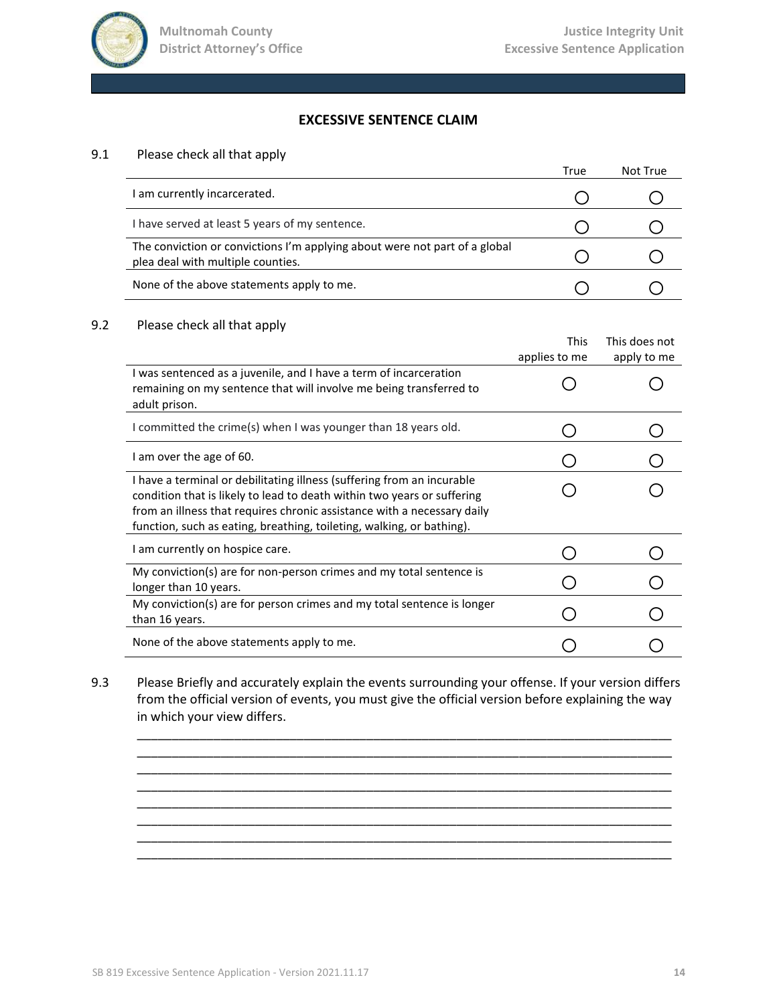

## **EXCESSIVE SENTENCE CLAIM**

### 9.1 Please check all that apply

|                                                                                                                 | True | Not True |
|-----------------------------------------------------------------------------------------------------------------|------|----------|
| I am currently incarcerated.                                                                                    |      |          |
| I have served at least 5 years of my sentence.                                                                  |      |          |
| The conviction or convictions I'm applying about were not part of a global<br>plea deal with multiple counties. |      |          |
| None of the above statements apply to me.                                                                       |      |          |

#### 9.2 Please check all that apply

|                                                                                                                                                                                                                                                                                                       | <b>This</b><br>applies to me | This does not<br>apply to me |
|-------------------------------------------------------------------------------------------------------------------------------------------------------------------------------------------------------------------------------------------------------------------------------------------------------|------------------------------|------------------------------|
| I was sentenced as a juvenile, and I have a term of incarceration<br>remaining on my sentence that will involve me being transferred to<br>adult prison.                                                                                                                                              |                              |                              |
| I committed the crime(s) when I was younger than 18 years old.                                                                                                                                                                                                                                        |                              |                              |
| I am over the age of 60.                                                                                                                                                                                                                                                                              |                              |                              |
| I have a terminal or debilitating illness (suffering from an incurable<br>condition that is likely to lead to death within two years or suffering<br>from an illness that requires chronic assistance with a necessary daily<br>function, such as eating, breathing, toileting, walking, or bathing). |                              |                              |
| I am currently on hospice care.                                                                                                                                                                                                                                                                       |                              |                              |
| My conviction(s) are for non-person crimes and my total sentence is<br>longer than 10 years.                                                                                                                                                                                                          |                              |                              |
| My conviction(s) are for person crimes and my total sentence is longer<br>than 16 years.                                                                                                                                                                                                              |                              |                              |
| None of the above statements apply to me.                                                                                                                                                                                                                                                             |                              |                              |

9.3 Please Briefly and accurately explain the events surrounding your offense. If your version differs from the official version of events, you must give the official version before explaining the way in which your view differs.

\_\_\_\_\_\_\_\_\_\_\_\_\_\_\_\_\_\_\_\_\_\_\_\_\_\_\_\_\_\_\_\_\_\_\_\_\_\_\_\_\_\_\_\_\_\_\_\_\_\_\_\_\_\_\_\_\_\_\_\_\_\_\_\_\_\_\_\_\_\_\_\_\_\_\_\_\_ \_\_\_\_\_\_\_\_\_\_\_\_\_\_\_\_\_\_\_\_\_\_\_\_\_\_\_\_\_\_\_\_\_\_\_\_\_\_\_\_\_\_\_\_\_\_\_\_\_\_\_\_\_\_\_\_\_\_\_\_\_\_\_\_\_\_\_\_\_\_\_\_\_\_\_\_\_ \_\_\_\_\_\_\_\_\_\_\_\_\_\_\_\_\_\_\_\_\_\_\_\_\_\_\_\_\_\_\_\_\_\_\_\_\_\_\_\_\_\_\_\_\_\_\_\_\_\_\_\_\_\_\_\_\_\_\_\_\_\_\_\_\_\_\_\_\_\_\_\_\_\_\_\_\_ \_\_\_\_\_\_\_\_\_\_\_\_\_\_\_\_\_\_\_\_\_\_\_\_\_\_\_\_\_\_\_\_\_\_\_\_\_\_\_\_\_\_\_\_\_\_\_\_\_\_\_\_\_\_\_\_\_\_\_\_\_\_\_\_\_\_\_\_\_\_\_\_\_\_\_\_\_

\_\_\_\_\_\_\_\_\_\_\_\_\_\_\_\_\_\_\_\_\_\_\_\_\_\_\_\_\_\_\_\_\_\_\_\_\_\_\_\_\_\_\_\_\_\_\_\_\_\_\_\_\_\_\_\_\_\_\_\_\_\_\_\_\_\_\_\_\_\_\_\_\_\_\_\_\_ \_\_\_\_\_\_\_\_\_\_\_\_\_\_\_\_\_\_\_\_\_\_\_\_\_\_\_\_\_\_\_\_\_\_\_\_\_\_\_\_\_\_\_\_\_\_\_\_\_\_\_\_\_\_\_\_\_\_\_\_\_\_\_\_\_\_\_\_\_\_\_\_\_\_\_\_\_ \_\_\_\_\_\_\_\_\_\_\_\_\_\_\_\_\_\_\_\_\_\_\_\_\_\_\_\_\_\_\_\_\_\_\_\_\_\_\_\_\_\_\_\_\_\_\_\_\_\_\_\_\_\_\_\_\_\_\_\_\_\_\_\_\_\_\_\_\_\_\_\_\_\_\_\_\_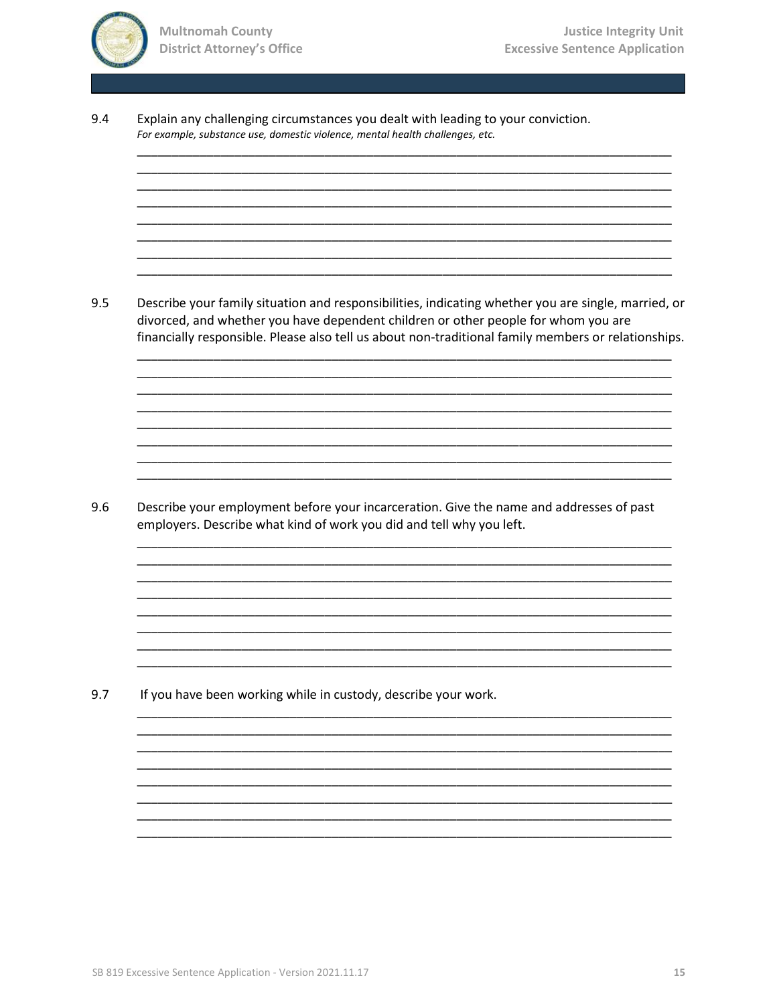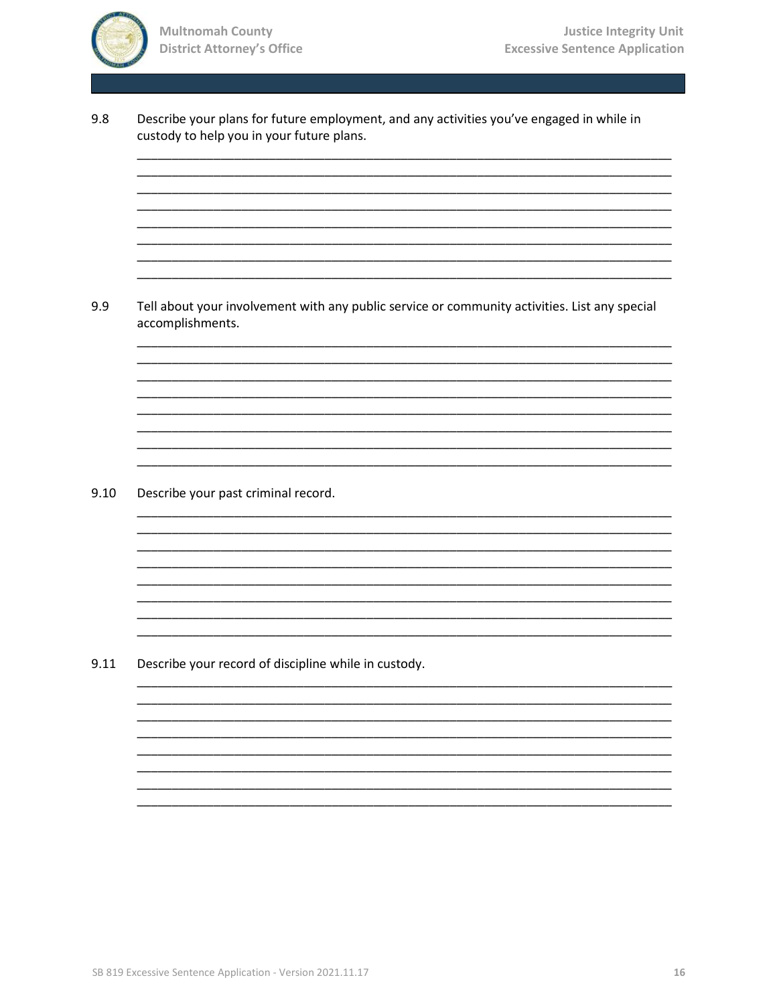

9.8

9.9

custody to help you in your future plans.

Tell about your involvement with any public service or community activities. List any special accomplishments.  $9.10$ Describe your past criminal record. 9.11 Describe your record of discipline while in custody.

Describe your plans for future employment, and any activities you've engaged in while in